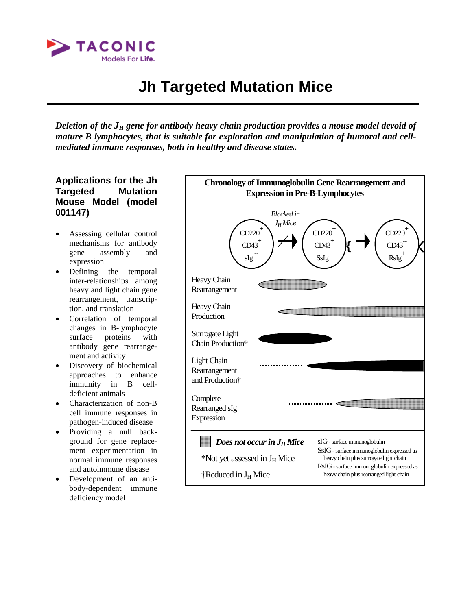

# **Jh Targeted Mutation Mice**

*Deletion of the J<sub>H</sub> gene for antibody heavy chain production provides a mouse model devoid of mature B lymphocytes, that is suitable for exploration and manipulation of humoral and cellmediated immune responses, both in healthy and disease states.*

#### **Applications for the Jh Targeted Mutation Mouse Model (model 001147)**

- Assessing cellular control mechanisms for antibody gene assembly and expression
- Defining the temporal inter-relationships among heavy and light chain gene rearrangement, transcription, and translation
- Correlation of temporal changes in B-lymphocyte surface proteins with antibody gene rearrangement and activity
- Discovery of biochemical approaches to enhance immunity in B celldeficient animals
- Characterization of non-B cell immune responses in pathogen-induced disease
- Providing a null background for gene replacement experimentation in normal immune responses and autoimmune disease
- Development of an antibody-dependent immune deficiency model

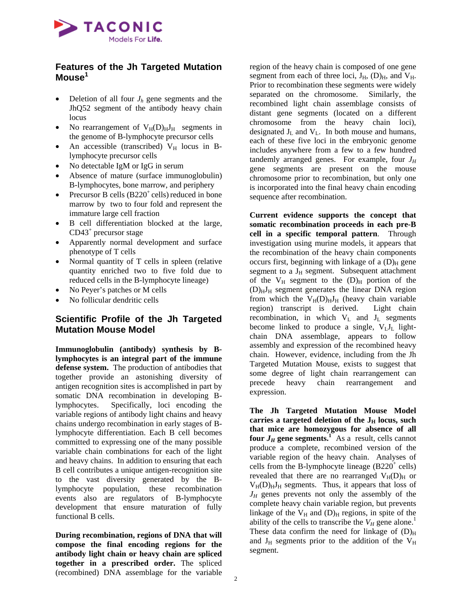

#### **Features of the Jh Targeted Mutation Mouse1**

- Deletion of all four  $J_h$  gene segments and the JhQ52 segment of the antibody heavy chain locus
- No rearrangement of  $V_H(D)_H J_H$  segments in the genome of B-lymphocyte precursor cells
- An accessible (transcribed)  $V_H$  locus in Blymphocyte precursor cells
- No detectable IgM or IgG in serum
- Absence of mature (surface immunoglobulin) B-lymphocytes, bone marrow, and periphery
- Precursor B cells  $(B220<sup>+</sup>$  cells) reduced in bone marrow by two to four fold and represent the immature large cell fraction
- B cell differentiation blocked at the large, CD43<sup>+</sup> precursor stage
- Apparently normal development and surface phenotype of T cells
- Normal quantity of T cells in spleen (relative quantity enriched two to five fold due to reduced cells in the B-lymphocyte lineage)
- No Peyer's patches or M cells
- No follicular dendritic cells

## **Scientific Profile of the Jh Targeted Mutation Mouse Model**

**Immunoglobulin (antibody) synthesis by Blymphocytes is an integral part of the immune defense system.** The production of antibodies that together provide an astonishing diversity of antigen recognition sites is accomplished in part by somatic DNA recombination in developing Blymphocytes. Specifically, loci encoding the variable regions of antibody light chains and heavy chains undergo recombination in early stages of Blymphocyte differentiation. Each B cell becomes committed to expressing one of the many possible variable chain combinations for each of the light and heavy chains. In addition to ensuring that each B cell contributes a unique antigen-recognition site to the vast diversity generated by the Blymphocyte population, these recombination events also are regulators of B-lymphocyte development that ensure maturation of fully functional B cells.

**During recombination, regions of DNA that will compose the final encoding regions for the antibody light chain or heavy chain are spliced together in a prescribed order.** The spliced (recombined) DNA assemblage for the variable

region of the heavy chain is composed of one gene segment from each of three loci,  $J_H$ ,  $(D)_H$ , and  $V_H$ . Prior to recombination these segments were widely separated on the chromosome. Similarly, the recombined light chain assemblage consists of distant gene segments (located on a different chromosome from the heavy chain loci), designated  $J_L$  and  $V_L$ . In both mouse and humans, each of these five loci in the embryonic genome includes anywhere from a few to a few hundred tandemly arranged genes. For example, four  $J_H$ gene segments are present on the mouse chromosome prior to recombination, but only one is incorporated into the final heavy chain encoding sequence after recombination.

**Current evidence supports the concept that somatic recombination proceeds in each pre-B cell in a specific temporal pattern**. Through investigation using murine models, it appears that the recombination of the heavy chain components occurs first, beginning with linkage of a  $(D)$ <sub>H</sub> gene segment to a  $J_H$  segment. Subsequent attachment of the  $V_H$  segment to the  $(D)_H$  portion of the  $(D)$ <sub>H</sub>J<sub>H</sub> segment generates the linear DNA region from which the  $V_H(D)_H J_H$  (heavy chain variable region) transcript is derived. Light chain recombination, in which  $V_L$  and  $J_L$  segments become linked to produce a single,  $V_L J_L$  lightchain DNA assemblage, appears to follow assembly and expression of the recombined heavy chain. However, evidence, including from the Jh Targeted Mutation Mouse, exists to suggest that some degree of light chain rearrangement can precede heavy chain rearrangement and expression.

**The Jh Targeted Mutation Mouse Model**  carries a targeted deletion of the J<sub>H</sub> locus, such **that mice are homozygous for absence of all four**  $J_H$  **gene segments.**<sup>1</sup> As a result, cells cannot produce a complete, recombined version of the variable region of the heavy chain. Analyses of cells from the B-lymphocyte lineage  $(B220<sup>+</sup>$  cells) revealed that there are no rearranged  $V_H(D)_H$  or  $V_H(D)_H J_H$  segments. Thus, it appears that loss of  $J_H$  genes prevents not only the assembly of the complete heavy chain variable region, but prevents linkage of the  $V_H$  and  $(D)_H$  regions, in spite of the ability of the cells to transcribe the  $V_H$  gene alone.<sup>1</sup> These data confirm the need for linkage of  $(D)_{\text{H}}$ and  $J_H$  segments prior to the addition of the  $V_H$ segment.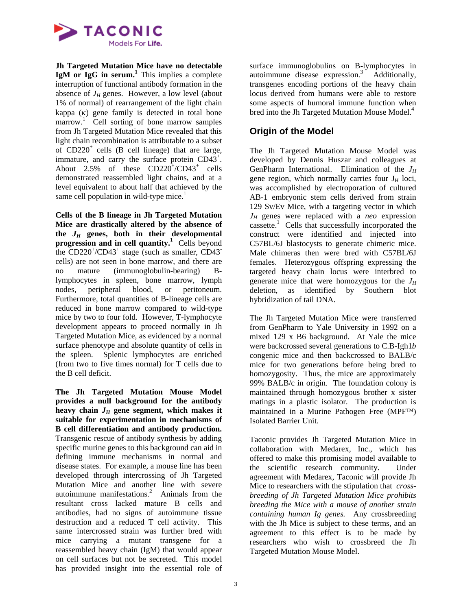

**Jh Targeted Mutation Mice have no detectable IgM or IgG in serum.<sup>1</sup>** This implies a complete interruption of functional antibody formation in the absence of  $J_H$  genes. However, a low level (about 1% of normal) of rearrangement of the light chain kappa (κ) gene family is detected in total bone marrow.<sup>1</sup> Cell sorting of bone marrow samples from Jh Targeted Mutation Mice revealed that this light chain recombination is attributable to a subset of  $CD220<sup>+</sup>$  cells (B cell lineage) that are large, immature, and carry the surface protein CD43<sup>+</sup>. About 2.5% of these  $CD220^{\degree}/CD43^{\degree}$  cells demonstrated reassembled light chains, and at a level equivalent to about half that achieved by the same cell population in wild-type mice.<sup>1</sup>

**Cells of the B lineage in Jh Targeted Mutation Mice are drastically altered by the absence of**  the  $J_H$  genes, both in their developmental **progression and in cell quantity.<sup>1</sup>** Cells beyond the  $CD220^{\circ}/CD43^{\circ}$  stage (such as smaller, CD43<sup>-</sup> cells) are not seen in bone marrow, and there are no mature (immunoglobulin-bearing) Blymphocytes in spleen, bone marrow, lymph nodes, peripheral blood, or peritoneum. Furthermore, total quantities of B-lineage cells are reduced in bone marrow compared to wild-type mice by two to four fold. However, T-lymphocyte development appears to proceed normally in Jh Targeted Mutation Mice, as evidenced by a normal surface phenotype and absolute quantity of cells in the spleen. Splenic lymphocytes are enriched (from two to five times normal) for T cells due to the B cell deficit.

**The Jh Targeted Mutation Mouse Model provides a null background for the antibody**  heavy chain  $J_H$  gene segment, which makes it **suitable for experimentation in mechanisms of B cell differentiation and antibody production.** Transgenic rescue of antibody synthesis by adding specific murine genes to this background can aid in defining immune mechanisms in normal and disease states. For example, a mouse line has been developed through intercrossing of Jh Targeted Mutation Mice and another line with severe autoimmune manifestations.<sup>2</sup> Animals from the resultant cross lacked mature B cells and antibodies, had no signs of autoimmune tissue destruction and a reduced T cell activity. This same intercrossed strain was further bred with mice carrying a mutant transgene for a reassembled heavy chain (IgM) that would appear on cell surfaces but not be secreted. This model has provided insight into the essential role of

surface immunoglobulins on B-lymphocytes in autoimmune disease expression.<sup>3</sup> Additionally, transgenes encoding portions of the heavy chain locus derived from humans were able to restore some aspects of humoral immune function when bred into the Jh Targeted Mutation Mouse Model.<sup>4</sup>

## **Origin of the Model**

The Jh Targeted Mutation Mouse Model was developed by Dennis Huszar and colleagues at GenPharm International. Elimination of the *JH* gene region, which normally carries four  $J_H$  loci, was accomplished by electroporation of cultured AB-1 embryonic stem cells derived from strain 129 Sv/Ev Mice, with a targeting vector in which  $J_H$  genes were replaced with a *neo* expression cassette.<sup>1</sup> Cells that successfully incorporated the construct were identified and injected into C57BL/6J blastocysts to generate chimeric mice. Male chimeras then were bred with C57BL/6J females. Heterozygous offspring expressing the targeted heavy chain locus were interbred to generate mice that were homozygous for the  $J_H$ deletion, as identified by Southern blot hybridization of tail DNA.

The Jh Targeted Mutation Mice were transferred from GenPharm to Yale University in 1992 on a mixed 129 x B6 background. At Yale the mice were backcrossed several generations to C.B-Igh1*b*  congenic mice and then backcrossed to BALB/c mice for two generations before being bred to homozygosity. Thus, the mice are approximately 99% BALB/c in origin. The foundation colony is maintained through homozygous brother x sister matings in a plastic isolator. The production is maintained in a Murine Pathogen Free (MPF™) Isolated Barrier Unit.

Taconic provides Jh Targeted Mutation Mice in collaboration with Medarex, Inc., which has offered to make this promising model available to the scientific research community. Under agreement with Medarex, Taconic will provide Jh Mice to researchers with the stipulation that *crossbreeding of Jh Targeted Mutation Mice prohibits breeding the Mice with a mouse of another strain containing human Ig genes.* Any crossbreeding with the Jh Mice is subject to these terms, and an agreement to this effect is to be made by researchers who wish to crossbreed the Jh Targeted Mutation Mouse Model.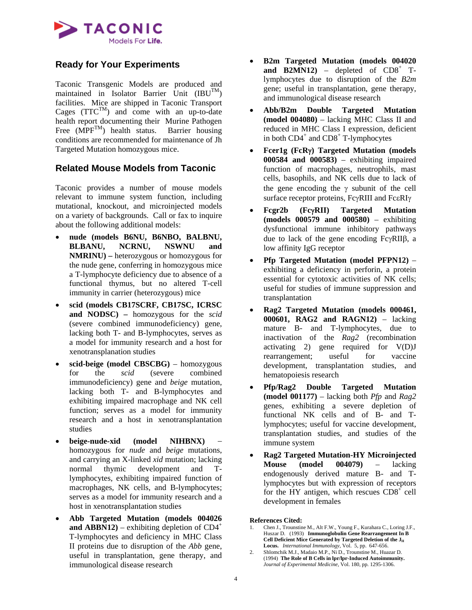

## **Ready for Your Experiments**

Taconic Transgenic Models are produced and maintained in Isolator Barrier Unit  $(BU^{TM})$ facilities. Mice are shipped in Taconic Transport Cages  $(TTC^{TM})$  and come with an up-to-date health report documenting their Murine Pathogen Free  $(MPF^{TM})$  health status. Barrier housing conditions are recommended for maintenance of Jh Targeted Mutation homozygous mice.

## **Related Mouse Models from Taconic**

Taconic provides a number of mouse models relevant to immune system function, including mutational, knockout, and microinjected models on a variety of backgrounds. Call or fax to inquire about the following additional models:

- **nude (models B6NU, B6NBO, BALBNU, BLBANU, NCRNU, NSWNU and NMRINU) –** heterozygous or homozygous for the nude gene, conferring in homozygous mice a T-lymphocyte deficiency due to absence of a functional thymus, but no altered T-cell immunity in carrier (heterozygous) mice
- **scid (models CB17SCRF, CB17SC, ICRSC and NODSC) –** homozygous for the *scid* (severe combined immunodeficiency) gene, lacking both T- and B-lymphocytes, serves as a model for immunity research and a host for xenotransplanation studies
- **scid-beige (model CBSCBG)** homozygous for the *scid* (severe combined immunodeficiency) gene and *beige* mutation, lacking both T- and B-lymphocytes and exhibiting impaired macrophage and NK cell function; serves as a model for immunity research and a host in xenotransplantation studies
- **beige-nude-xid (model NIHBNX)** homozygous for *nude* and *beige* mutations, and carrying an X-linked *xid* mutation; lacking normal thymic development and Tlymphocytes, exhibiting impaired function of macrophages, NK cells, and B-lymphocytes; serves as a model for immunity research and a host in xenotransplantation studies
- **Abb Targeted Mutation (models 004026 and ABBN12**) – exhibiting depletion of  $CD4^+$ T-lymphocytes and deficiency in MHC Class II proteins due to disruption of the *Abb* gene, useful in transplantation, gene therapy, and immunological disease research
- **B2m Targeted Mutation (models 004020 and B2MN12**) – depleted of  $CD8^+$  Tlymphocytes due to disruption of the *B2m* gene; useful in transplantation, gene therapy, and immunological disease research
- **Abb/B2m Double Targeted Mutation (model 004080)** – lacking MHC Class II and reduced in MHC Class I expression, deficient in both  $CD4^+$  and  $CD8^+$  T-lymphocytes
- **Fcer1g (FcR**γ**) Targeted Mutation (models 000584 and 000583)** – exhibiting impaired function of macrophages, neutrophils, mast cells, basophils, and NK cells due to lack of the gene encoding the  $\gamma$  subunit of the cell surface receptor proteins, FcγRIII and FcεRIγ
- **Fcgr2b (Fc**γ**RII) Targeted Mutation (models 000579 and 000580)** – exhibiting dysfunctional immune inhibitory pathways due to lack of the gene encoding FcγRIIβ, a low affinity IgG receptor
- **Pfp Targeted Mutation (model PFPN12)** exhibiting a deficiency in perforin, a protein essential for cytotoxic activities of NK cells; useful for studies of immune suppression and transplantation
- **Rag2 Targeted Mutation (models 000461, 000601, RAG2 and RAGN12)** – lacking mature B- and T-lymphocytes, due to inactivation of the *Rag2* (recombination activating 2) gene required for V(D)J rearrangement; useful for vaccine development, transplantation studies, and hematopoiesis research
- **Pfp/Rag2 Double Targeted Mutation (model 001177)** – lacking both *Pfp* and *Rag2* genes, exhibiting a severe depletion of functional NK cells and of B- and Tlymphocytes; useful for vaccine development, transplantation studies, and studies of the immune system
- **Rag2 Targeted Mutation-HY Microinjected Mouse (model 004079)** – lacking endogenously derived mature B- and Tlymphocytes but with expression of receptors for the HY antigen, which rescues  $CD8<sup>+</sup>$  cell development in females

**References Cited:** 

- 1. Chen J., Trounstine M., Alt F.W., Young F., Kurahara C., Loring J.F., Huszar D. (1993) **Immunoglobulin Gene Rearrangement In B**  Cell Deficient Mice Generated by Targeted Deletion of the  $\mathrm{J_{H}}$ **Locus.** *International Immunology*, Vol. 5, pp. 647-656.
- 2. Shlomchik M.J., Madaio M.P., Ni D., Trounstine M., Huazar D. (1994) **The Role of B Cells in lpr/lpr-Induced Autoimmunity.** *Journal of Experimental Medicine*, Vol. 180, pp. 1295-1306.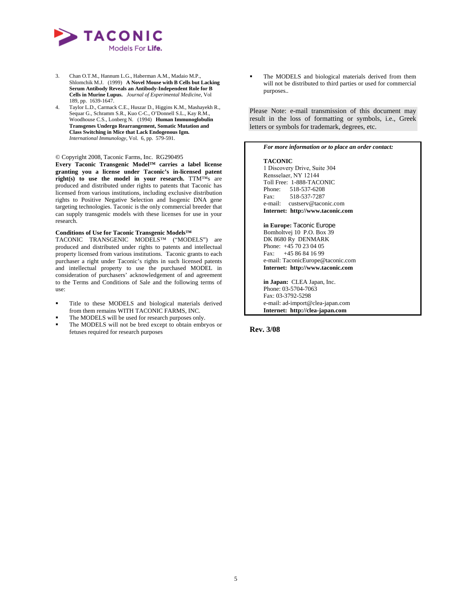

- 3. Chan O.T.M., Hannum L.G., Haberman A.M., Madaio M.P., Shlomchik M.J. (1999) **A Novel Mouse with B Cells but Lacking Serum Antibody Reveals an Antibody-Independent Role for B Cells in Murine Lupus.** *Journal of Experimental Medicine*, Vol 189, pp. 1639-1647.
- 4. Taylor L.D., Carmack C.E., Huszar D., Higgins K.M., Mashayekh R., Sequar G., Schramm S.R., Kuo C-C., O'Donnell S.L., Kay R.M., Woodhouse C.S., Lonberg N. (1994) **Human Immunoglobulin Transgenes Undergo Rearrangement, Somatic Mutation and Class Switching in Mice that Lack Endogenous Igm.** *International Immunology*, Vol. 6, pp. 579-591.

#### © Copyright 2008, Taconic Farms, Inc. RG290495

**Every Taconic Transgenic Model™ carries a label license granting you a license under Taconic's in-licensed patent right(s) to use the model in your research.** TTM™s are produced and distributed under rights to patents that Taconic has licensed from various institutions, including exclusive distribution rights to Positive Negative Selection and Isogenic DNA gene targeting technologies. Taconic is the only commercial breeder that can supply transgenic models with these licenses for use in your research.

#### **Conditions of Use for Taconic Transgenic Models™**

TACONIC TRANSGENIC MODELS™ ("MODELS") are produced and distributed under rights to patents and intellectual property licensed from various institutions. Taconic grants to each purchaser a right under Taconic's rights in such licensed patents and intellectual property to use the purchased MODEL in consideration of purchasers' acknowledgement of and agreement to the Terms and Conditions of Sale and the following terms of use:

- Title to these MODELS and biological materials derived from them remains WITH TACONIC FARMS, INC.
- The MODELS will be used for research purposes only.
- The MODELS will not be bred except to obtain embryos or fetuses required for research purposes

 The MODELS and biological materials derived from them will not be distributed to third parties or used for commercial purposes..

Please Note: e-mail transmission of this document may result in the loss of formatting or symbols, i.e., Greek letters or symbols for trademark, degrees, etc.

#### *For more information or to place an order contact:* **TACONIC**  1 Discovery Drive, Suite 304

Rensselaer, NY 12144 Toll Free: 1-888-TACONIC Phone: 518-537-6208 Fax: 518-537-7287 e-mail: custserv@taconic.com **Internet: http://www.taconic.com in Europe:** Taconic Europe Bomholtvej 10 P.O. Box 39 DK 8680 Ry DENMARK Phone: +45 70 23 04 05 Fax: +45 86 84 16 99

**Internet: http://www.taconic.com in Japan:** CLEA Japan, Inc. Phone: 03-5704-7063 Fax: 03-3792-5298 e-mail: ad-import@clea-japan.com **Internet: http://clea-japan.com**

e-mail: TaconicEurope@taconic.com

#### **Rev. 3/08**